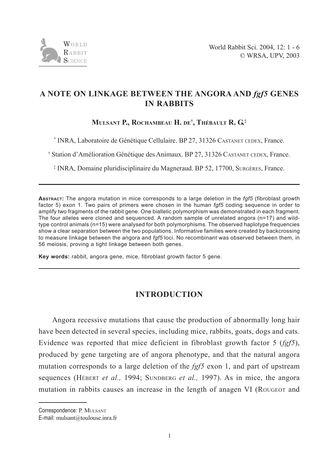

# **A NOTE ON LINKAGE BETWEEN THE ANGORA AND** *fgf5* **GENES IN RABBITS**

**MULSANT P., ROCHAMBEAU H. DE† , THÉBAULT R. G.‡**

\* INRA, Laboratoire de Génétique Cellulaire. BP 27, 31326 CASTANET CEDEX, France.

† Station d'Amélioration Génétique des Animaux. BP 27, 31326 CASTANET CEDEX, France.

‡ INRA, Domaine pluridisciplinaire du Magneraud. BP 52, 17700, SURGÈRES, France.

**ABSTRACT:** The angora mutation in mice corresponds to a large deletion in the *fgf5* (fibroblast growth factor 5) exon 1. Two pairs of primers were chosen in the human *fgf5* coding sequence in order to amplify two fragments of the rabbit gene. One biallelic polymorphism was demonstrated in each fragment. The four alleles were cloned and sequenced. A random sample of unrelated angora (n=17) and wildtype control animals (n=15) were analysed for both polymorphisms. The observed haplotype frequencies show a clear separation between the two populations. Informative families were created by backcrossing to measure linkage between the angora and *fgf5* loci. No recombinant was observed between them, in 56 meiosis, proving a tight linkage between both genes.

**Key words:** rabbit, angora gene, mice, fibroblast growth factor 5 gene.

## **INTRODUCTION**

Angora recessive mutations that cause the production of abnormally long hair have been detected in several species, including mice, rabbits, goats, dogs and cats. Evidence was reported that mice deficient in fibroblast growth factor 5 (*fgf5*), produced by gene targeting are of angora phenotype, and that the natural angora mutation corresponds to a large deletion of the *fgf5* exon 1, and part of upstream sequences (HÉBERT *et al.,* 1994; SUNDBERG *et al.,* 1997). As in mice, the angora mutation in rabbits causes an increase in the length of anagen VI (ROUGEOT and

Correspondence: P. MULSANT

E-mail: mulsant@toulouse.inra.fr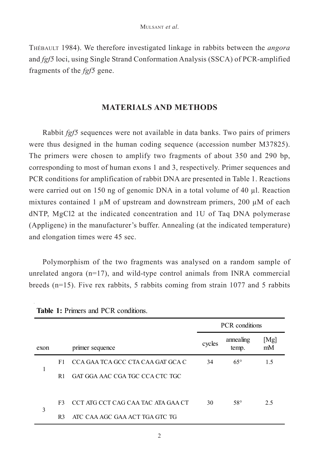THÉBAULT 1984). We therefore investigated linkage in rabbits between the *angora* and *fgf5* loci, using Single Strand Conformation Analysis (SSCA) of PCR-amplified fragments of the *fgf5* gene.

### **MATERIALS AND METHODS**

Rabbit *fgf5* sequences were not available in data banks. Two pairs of primers were thus designed in the human coding sequence (accession number M37825). The primers were chosen to amplify two fragments of about 350 and 290 bp, corresponding to most of human exons 1 and 3, respectively. Primer sequences and PCR conditions for amplification of rabbit DNA are presented in Table 1. Reactions were carried out on 150 ng of genomic DNA in a total volume of 40 µl. Reaction mixtures contained 1  $\mu$ M of upstream and downstream primers, 200  $\mu$ M of each dNTP, MgCl2 at the indicated concentration and 1U of Taq DNA polymerase (Appligene) in the manufacturer's buffer. Annealing (at the indicated temperature) and elongation times were 45 sec.

Polymorphism of the two fragments was analysed on a random sample of unrelated angora  $(n=17)$ , and wild-type control animals from INRA commercial breeds (n=15). Five rex rabbits, 5 rabbits coming from strain 1077 and 5 rabbits

|      |                |                                    | <b>PCR</b> conditions |                    |            |
|------|----------------|------------------------------------|-----------------------|--------------------|------------|
| exon |                | primer sequence                    | cycles                | annealing<br>temp. | [Mg]<br>mM |
| 1    | F <sub>1</sub> | CCA GAA TCA GCC CTA CAA GAT GCA C  | 34                    | $65^{\circ}$       | 1.5        |
|      | R1             | GAT GGA AAC CGA TGC CCA CTC TGC    |                       |                    |            |
|      |                |                                    |                       |                    |            |
| 3    | F3             | CCT ATG CCT CAG CAA TAC ATA GAA CT | 30                    | $58^{\circ}$       | 2.5        |
|      | R <sub>3</sub> | ATC CAA AGC GAA ACT TGA GTC TG     |                       |                    |            |

**Table 1:** Primers and PCR conditions.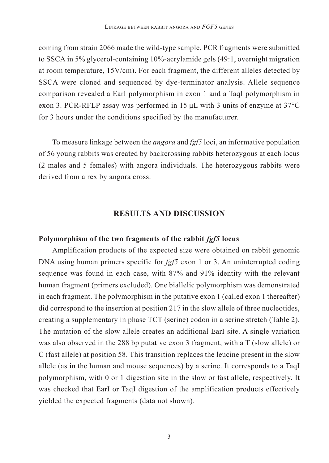coming from strain 2066 made the wild-type sample. PCR fragments were submitted to SSCA in 5% glycerol-containing 10%-acrylamide gels (49:1, overnight migration at room temperature, 15V/cm). For each fragment, the different alleles detected by SSCA were cloned and sequenced by dye-terminator analysis. Allele sequence comparison revealed a EarI polymorphism in exon 1 and a TaqI polymorphism in exon 3. PCR-RFLP assay was performed in 15  $\mu$ L with 3 units of enzyme at 37°C for 3 hours under the conditions specified by the manufacturer.

To measure linkage between the *angora* and *fgf5* loci, an informative population of 56 young rabbits was created by backcrossing rabbits heterozygous at each locus (2 males and 5 females) with angora individuals. The heterozygous rabbits were derived from a rex by angora cross.

### **RESULTS AND DISCUSSION**

#### **Polymorphism of the two fragments of the rabbit** *fgf5* **locus**

Amplification products of the expected size were obtained on rabbit genomic DNA using human primers specific for *fgf5* exon 1 or 3. An uninterrupted coding sequence was found in each case, with 87% and 91% identity with the relevant human fragment (primers excluded). One biallelic polymorphism was demonstrated in each fragment. The polymorphism in the putative exon 1 (called exon 1 thereafter) did correspond to the insertion at position 217 in the slow allele of three nucleotides, creating a supplementary in phase TCT (serine) codon in a serine stretch (Table 2). The mutation of the slow allele creates an additional EarI site. A single variation was also observed in the 288 bp putative exon 3 fragment, with a T (slow allele) or C (fast allele) at position 58. This transition replaces the leucine present in the slow allele (as in the human and mouse sequences) by a serine. It corresponds to a TaqI polymorphism, with 0 or 1 digestion site in the slow or fast allele, respectively. It was checked that EarI or TaqI digestion of the amplification products effectively yielded the expected fragments (data not shown).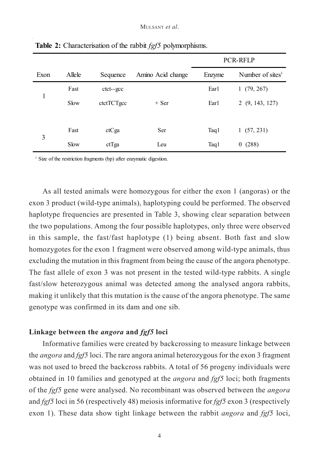|      |        |            |                   | PCR-RFLP |                       |  |
|------|--------|------------|-------------------|----------|-----------------------|--|
| Exon | Allele | Sequence   | Amino Acid change | Enzyme   | Number of sites $1$   |  |
| 1    | Fast   | ctct--gcc  |                   | Ear1     | 1(79, 267)            |  |
|      | Slow   | ctctTCTgcc | $+$ Ser           | Ear1     | 2(9, 143, 127)        |  |
|      |        |            |                   |          |                       |  |
| 3    | Fast   | ctCga      | Ser               | Taq1     | 1(57, 231)            |  |
|      | Slow   | ctTga      | Leu               | Taq1     | (288)<br>$\mathbf{0}$ |  |

**Table 2:** Characterisation of the rabbit *fgf5* polymorphisms.

<sup>1</sup> Size of the restriction fragments (bp) after enzymatic digestion.

As all tested animals were homozygous for either the exon 1 (angoras) or the exon 3 product (wild-type animals), haplotyping could be performed. The observed haplotype frequencies are presented in Table 3, showing clear separation between the two populations. Among the four possible haplotypes, only three were observed in this sample, the fast/fast haplotype (1) being absent. Both fast and slow homozygotes for the exon 1 fragment were observed among wild-type animals, thus excluding the mutation in this fragment from being the cause of the angora phenotype. The fast allele of exon 3 was not present in the tested wild-type rabbits. A single fast/slow heterozygous animal was detected among the analysed angora rabbits, making it unlikely that this mutation is the cause of the angora phenotype. The same genotype was confirmed in its dam and one sib.

#### **Linkage between the** *angora* **and** *fgf5* **loci**

Informative families were created by backcrossing to measure linkage between the *angora* and *fgf5* loci. The rare angora animal heterozygous for the exon 3 fragment was not used to breed the backcross rabbits. A total of 56 progeny individuals were obtained in 10 families and genotyped at the *angora* and *fgf5* loci; both fragments of the *fgf5* gene were analysed. No recombinant was observed between the *angora* and *fgf5* loci in 56 (respectively 48) meiosis informative for *fgf5* exon 3 (respectively exon 1). These data show tight linkage between the rabbit *angora* and *fgf5* loci,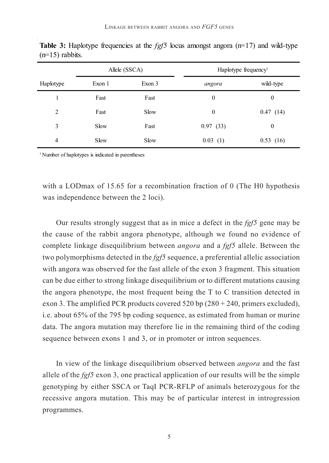|                | Allele (SSCA) |        | Haplotype frequency <sup>1</sup> |                |  |
|----------------|---------------|--------|----------------------------------|----------------|--|
| Haplotype      | Exon 1        | Exon 3 | angora                           | wild-type      |  |
|                | Fast          | Fast   | 0                                | $\theta$       |  |
| $\overline{c}$ | Fast          | Slow   | $\boldsymbol{0}$                 | 0.47(14)       |  |
| 3              | Slow          | Fast   | 0.97(33)                         | $\overline{0}$ |  |
| 4              | Slow          | Slow   | 0.03(1)                          | 0.53(16)       |  |

**Table 3:** Haplotype frequencies at the *fgf5* locus amongst angora ( $n=17$ ) and wild-type  $(n=15)$  rabbits.

<sup>1</sup> Number of haplotypes is indicated in parentheses

with a LODmax of 15.65 for a recombination fraction of 0 (The H0 hypothesis was independence between the 2 loci).

Our results strongly suggest that as in mice a defect in the *fgf5* gene may be the cause of the rabbit angora phenotype, although we found no evidence of complete linkage disequilibrium between *angora* and a *fgf5* allele. Between the two polymorphisms detected in the *fgf5* sequence, a preferential allelic association with angora was observed for the fast allele of the exon 3 fragment. This situation can be due either to strong linkage disequilibrium or to different mutations causing the angora phenotype, the most frequent being the T to C transition detected in exon 3. The amplified PCR products covered 520 bp  $(280 + 240, \text{ primers excluded})$ , i.e. about 65% of the 795 bp coding sequence, as estimated from human or murine data. The angora mutation may therefore lie in the remaining third of the coding sequence between exons 1 and 3, or in promoter or intron sequences.

In view of the linkage disequilibrium observed between *angora* and the fast allele of the *fgf5* exon 3, one practical application of our results will be the simple genotyping by either SSCA or TaqI PCR-RFLP of animals heterozygous for the recessive angora mutation. This may be of particular interest in introgression programmes.